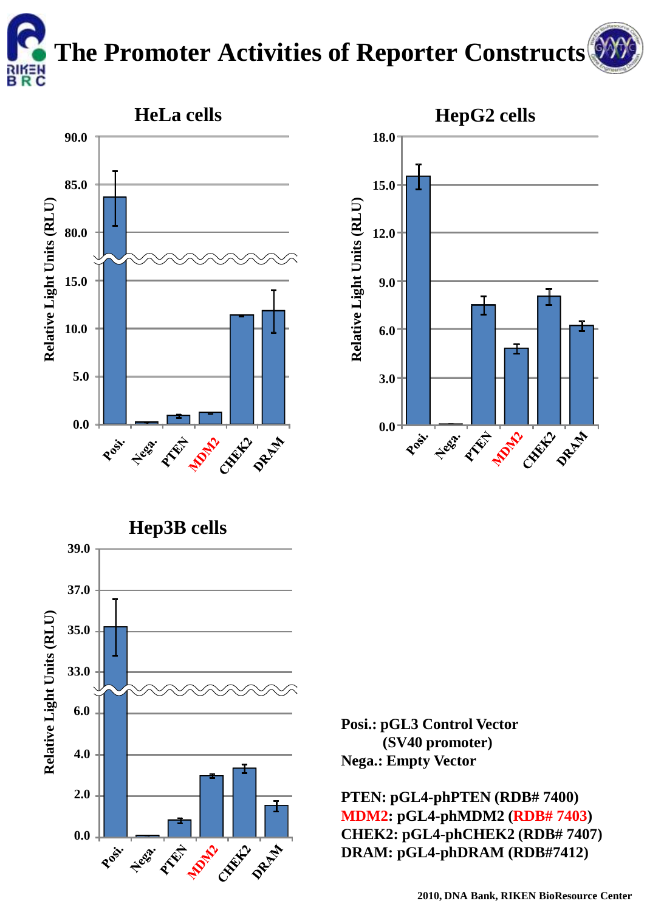## **The Promoter Activities of Reporter Constructs**

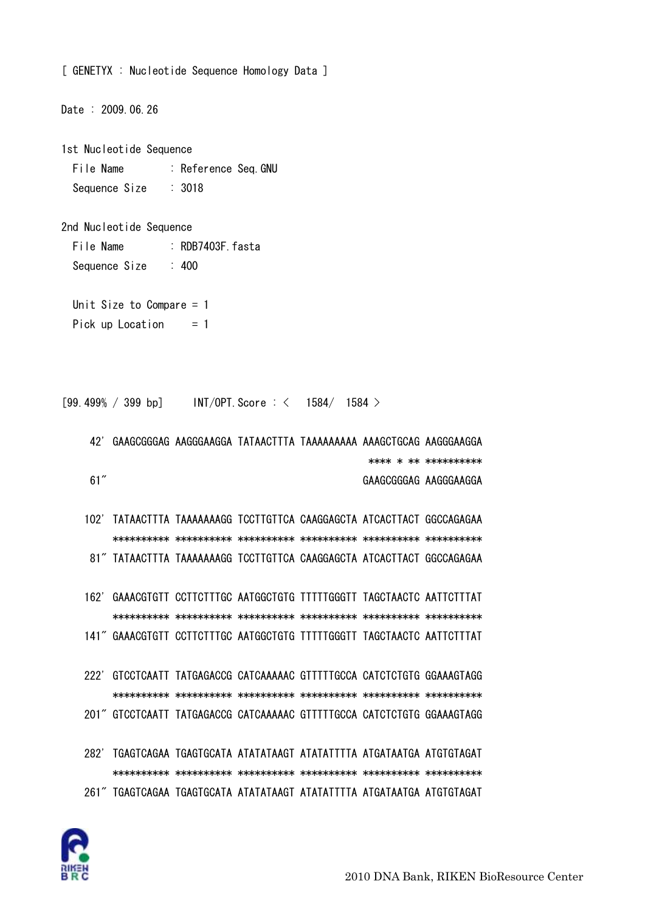

| Unit Size to Compare $= 1$<br>Pick up Location<br>$=$ 1 |  |  |  |                                                                        |                       |                      |  |  |  |  |  |
|---------------------------------------------------------|--|--|--|------------------------------------------------------------------------|-----------------------|----------------------|--|--|--|--|--|
|                                                         |  |  |  |                                                                        |                       |                      |  |  |  |  |  |
|                                                         |  |  |  | [99.499% / 399 bp] INT/OPT. Score: $\langle$ 1584/ 1584 >              |                       |                      |  |  |  |  |  |
| 42'                                                     |  |  |  | GAAGCGGGAG AAGGGAAGGA TATAACTTTA TAAAAAAAAA AAAGCTGCAG AAGGGAAGGA      |                       |                      |  |  |  |  |  |
|                                                         |  |  |  |                                                                        |                       | **** * ** ********** |  |  |  |  |  |
| 61''                                                    |  |  |  |                                                                        | GAAGCGGGAG AAGGGAAGGA |                      |  |  |  |  |  |
|                                                         |  |  |  |                                                                        |                       |                      |  |  |  |  |  |
| 102'                                                    |  |  |  | TATAACTITA TAAAAAAAGG TCCTTGTTCA CAAGGAGCTA ATCACTTACT GGCCAGAGAA      |                       |                      |  |  |  |  |  |
|                                                         |  |  |  |                                                                        |                       |                      |  |  |  |  |  |
|                                                         |  |  |  | 81" TATAACTTTA TAAAAAAAGG TCCTTGTTCA CAAGGAGCTA ATCACTTACT GGCCAGAGAA  |                       |                      |  |  |  |  |  |
|                                                         |  |  |  |                                                                        |                       |                      |  |  |  |  |  |
| 162'                                                    |  |  |  | GAAACGTGTT CCTTCTTTGC AATGGCTGTG TTTTTGGGTT TAGCTAACTC AATTCTTTAT      |                       |                      |  |  |  |  |  |
|                                                         |  |  |  |                                                                        |                       |                      |  |  |  |  |  |
|                                                         |  |  |  | 141" GAAACGTGTT CCTTCTTTGC AATGGCTGTG TTTTTGGGTT TAGCTAACTC AATTCTTTAT |                       |                      |  |  |  |  |  |
|                                                         |  |  |  |                                                                        |                       |                      |  |  |  |  |  |
| 222'                                                    |  |  |  | GTCCTCAATT TATGAGACCG CATCAAAAAC GTTTTTGCCA CATCTCTGTG GGAAAGTAGG      |                       |                      |  |  |  |  |  |
|                                                         |  |  |  |                                                                        |                       |                      |  |  |  |  |  |
|                                                         |  |  |  | 201" GTCCTCAATT TATGAGACCG CATCAAAAAC GTTTTTGCCA CATCTCTGTG GGAAAGTAGG |                       |                      |  |  |  |  |  |
|                                                         |  |  |  |                                                                        |                       |                      |  |  |  |  |  |
| 282'                                                    |  |  |  | TGAGTCAGAA TGAGTGCATA ATATATAAGT ATATATTTTA ATGATAATGA ATGTGTAGAT      |                       |                      |  |  |  |  |  |
|                                                         |  |  |  |                                                                        |                       |                      |  |  |  |  |  |
|                                                         |  |  |  | 261" TGAGTCAGAA TGAGTGCATA ATATATAAGT ATATATTTTA ATGATAATGA ATGTGTAGAT |                       |                      |  |  |  |  |  |
|                                                         |  |  |  |                                                                        |                       |                      |  |  |  |  |  |

```
File Name : Reference Seq. GNU
Sequence Size : 3018
```
File Name : RDB7403F.fasta

1st Nucleotide Sequence

2nd Nucleotide Sequence

Sequence Size : 400

Date : 2009.06.26

[ GENETYX : Nucleotide Sequence Homology Data ]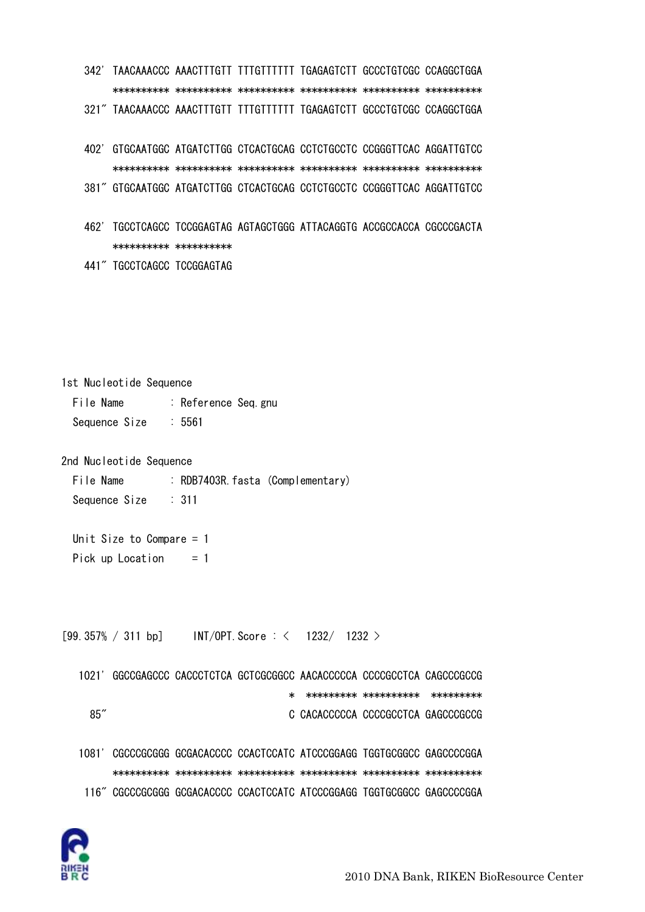342' TAACAAACCC AAACTTTGTT TTTGTTTTTT TGAGAGTCTT GCCCTGTCGC CCAGGCTGGA \*\*\*\*\*\*\*\*\*\* \*\*\*\*\*\*\*\*\*\* \*\*\*\*\*\*\*\*\*\* \*\*\*\*\*\*\*\*\*\* \*\*\*\*\*\*\*\*\*\* \*\*\*\*\*\*\*\*\*\*

321" TAACAAACCC AAACTTTGTT TTTGTTTTTT TGAGAGTCTT GCCCTGTCGC CCAGGCTGGA

- 402' GTGCAATGGC ATGATCTTGG CTCACTGCAG CCTCTGCCTC CCGGGTTCAC AGGATTGTCC \*\*\*\*\*\*\*\*\*\* \*\*\*\*\*\*\*\*\*\* \*\*\*\*\*\*\*\*\*\* \*\*\*\*\*\*\*\*\*\* \*\*\*\*\*\*\*\*\*\* \*\*\*\*\*\*\*\*\*\*
- 381" GTGCAATGGC ATGATCTTGG CTCACTGCAG CCTCTGCCTC CCGGGTTCAC AGGATTGTCC
- 462' TGCCTCAGCC TCCGGAGTAG AGTAGCTGGG ATTACAGGTG ACCGCCACCA CGCCCGACTA \*\*\*\*\*\*\*\*\*\* \*\*\*\*\*\*\*\*\*\*
- 441" TGCCTCAGCC TCCGGAGTAG

1st Nucleotide Sequence File Name : Reference Seq.gnu Sequence Size : 5561

2nd Nucleotide Sequence

File Name : RDB7403R fasta (Complementary) Sequence Size : 311

 Unit Size to Compare = 1 Pick up Location  $= 1$ 

 $[99.357\% / 311$  bp] INT/OPT. Score : < 1232/ 1232 >

| 1021' |  |   | GGCCGAGCCC CACCCTCTCA GCTCGCGGCC AACACCCCCA CCCCGCCTCA CAGCCCGCCG |                        |  |
|-------|--|---|-------------------------------------------------------------------|------------------------|--|
|       |  | ∗ |                                                                   | ********** *********** |  |
| 85''  |  |   | C CACACCCCCA CCCCGCCTCA GAGCCCCCCG                                |                        |  |
|       |  |   |                                                                   |                        |  |
| 1081' |  |   | CGCCCGCGGG GCGACACCCC CCACTCCATC ATCCCGGAGG TGGTGCGGCC GAGCCCCGGA |                        |  |
|       |  |   |                                                                   |                        |  |